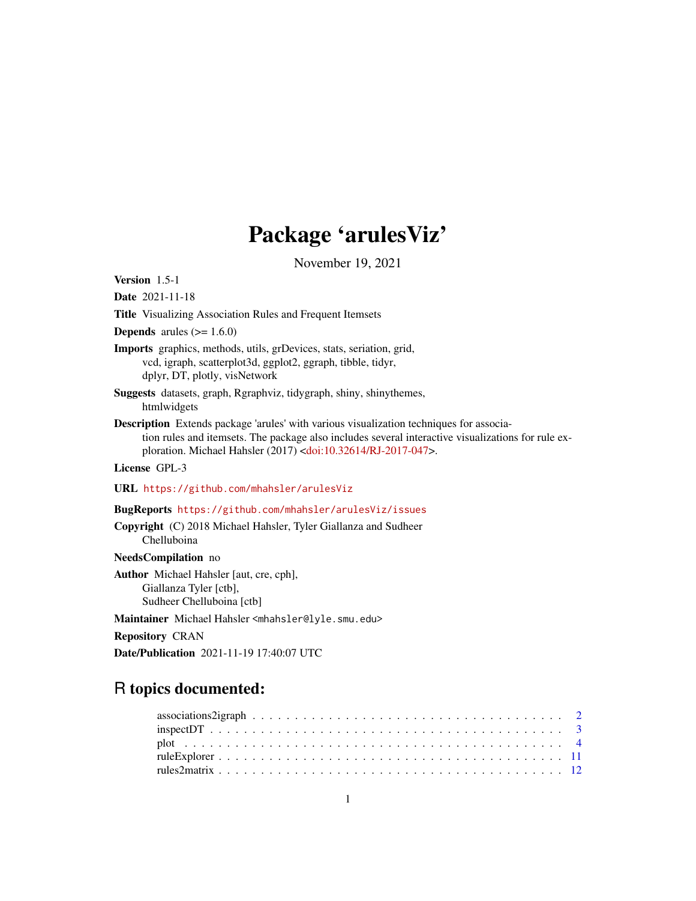## Package 'arulesViz'

November 19, 2021

<span id="page-0-0"></span>Version 1.5-1

Date 2021-11-18

Title Visualizing Association Rules and Frequent Itemsets

**Depends** arules  $(>= 1.6.0)$ 

Imports graphics, methods, utils, grDevices, stats, seriation, grid, vcd, igraph, scatterplot3d, ggplot2, ggraph, tibble, tidyr, dplyr, DT, plotly, visNetwork

Suggests datasets, graph, Rgraphviz, tidygraph, shiny, shinythemes, htmlwidgets

Description Extends package 'arules' with various visualization techniques for association rules and itemsets. The package also includes several interactive visualizations for rule exploration. Michael Hahsler (2017) [<doi:10.32614/RJ-2017-047>](https://doi.org/10.32614/RJ-2017-047).

License GPL-3

URL <https://github.com/mhahsler/arulesViz>

BugReports <https://github.com/mhahsler/arulesViz/issues>

Copyright (C) 2018 Michael Hahsler, Tyler Giallanza and Sudheer Chelluboina

#### NeedsCompilation no

Author Michael Hahsler [aut, cre, cph], Giallanza Tyler [ctb], Sudheer Chelluboina [ctb]

Maintainer Michael Hahsler <mhahsler@lyle.smu.edu>

Repository CRAN

Date/Publication 2021-11-19 17:40:07 UTC

### R topics documented:

| associations 2igraph $\ldots \ldots \ldots \ldots \ldots \ldots \ldots \ldots \ldots \ldots \ldots \ldots$ |  |  |  |  |  |  |  |  |  |  |  |  |  |  |  |  |  |  |
|------------------------------------------------------------------------------------------------------------|--|--|--|--|--|--|--|--|--|--|--|--|--|--|--|--|--|--|
|                                                                                                            |  |  |  |  |  |  |  |  |  |  |  |  |  |  |  |  |  |  |
|                                                                                                            |  |  |  |  |  |  |  |  |  |  |  |  |  |  |  |  |  |  |
|                                                                                                            |  |  |  |  |  |  |  |  |  |  |  |  |  |  |  |  |  |  |
|                                                                                                            |  |  |  |  |  |  |  |  |  |  |  |  |  |  |  |  |  |  |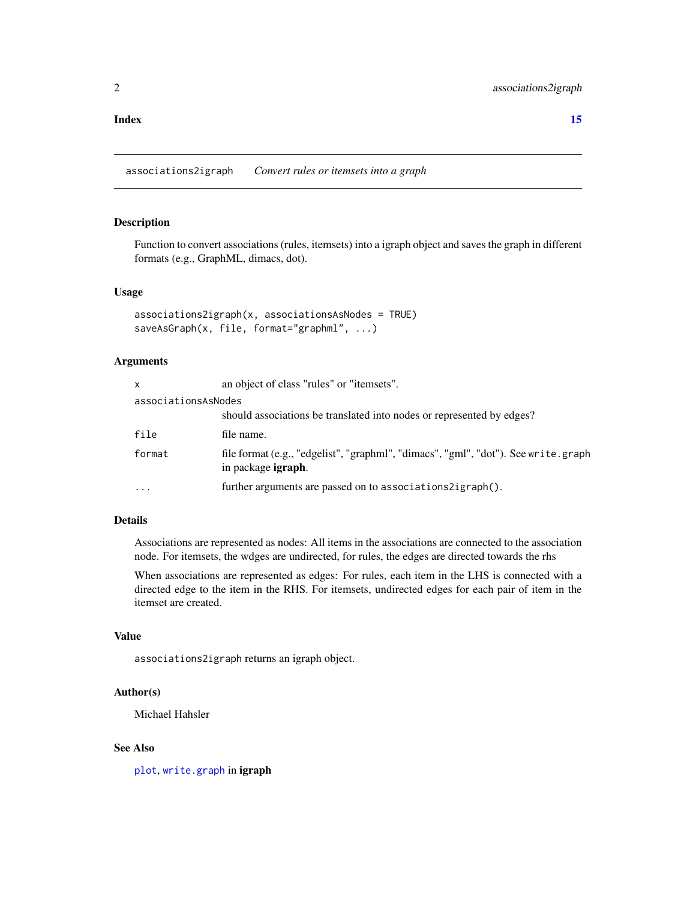#### <span id="page-1-0"></span>**Index** [15](#page-14-0)

associations2igraph *Convert rules or itemsets into a graph*

#### Description

Function to convert associations (rules, itemsets) into a igraph object and saves the graph in different formats (e.g., GraphML, dimacs, dot).

#### Usage

```
associations2igraph(x, associationsAsNodes = TRUE)
saveAsGraph(x, file, format="graphml", ...)
```
#### Arguments

| $\mathsf{x}$        | an object of class "rules" or "itemsets".                                                                        |
|---------------------|------------------------------------------------------------------------------------------------------------------|
| associationsAsNodes |                                                                                                                  |
|                     | should associations be translated into nodes or represented by edges?                                            |
| file                | file name.                                                                                                       |
| format              | file format (e.g., "edgelist", "graphml", "dimacs", "gml", "dot"). See write.graph<br>in package <b>igraph</b> . |
| $\cdots$            | further arguments are passed on to associations2igraph().                                                        |

#### Details

Associations are represented as nodes: All items in the associations are connected to the association node. For itemsets, the wdges are undirected, for rules, the edges are directed towards the rhs

When associations are represented as edges: For rules, each item in the LHS is connected with a directed edge to the item in the RHS. For itemsets, undirected edges for each pair of item in the itemset are created.

#### Value

associations2igraph returns an igraph object.

#### Author(s)

Michael Hahsler

#### See Also

[plot](#page-3-1), [write.graph](#page-0-0) in igraph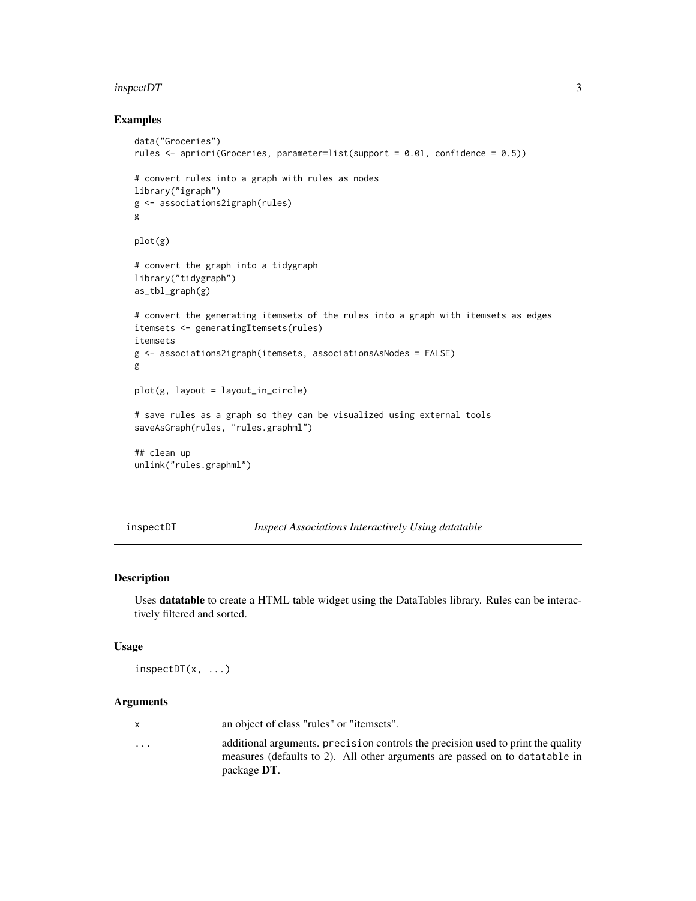#### <span id="page-2-0"></span>inspectDT 3

#### Examples

```
data("Groceries")
rules \leq apriori(Groceries, parameter=list(support = 0.01, confidence = 0.5))
# convert rules into a graph with rules as nodes
library("igraph")
g <- associations2igraph(rules)
g
plot(g)
# convert the graph into a tidygraph
library("tidygraph")
as_tbl_graph(g)
# convert the generating itemsets of the rules into a graph with itemsets as edges
itemsets <- generatingItemsets(rules)
itemsets
g <- associations2igraph(itemsets, associationsAsNodes = FALSE)
g
plot(g, layout = layout_in_circle)
# save rules as a graph so they can be visualized using external tools
saveAsGraph(rules, "rules.graphml")
## clean up
unlink("rules.graphml")
```
<span id="page-2-2"></span>inspectDT *Inspect Associations Interactively Using datatable*

#### <span id="page-2-1"></span>Description

Uses datatable to create a HTML table widget using the DataTables library. Rules can be interactively filtered and sorted.

#### Usage

inspectDT(x, ...)

#### Arguments

x an object of class "rules" or "itemsets".

... additional arguments. precision controls the precision used to print the quality measures (defaults to 2). All other arguments are passed on to datatable in package DT.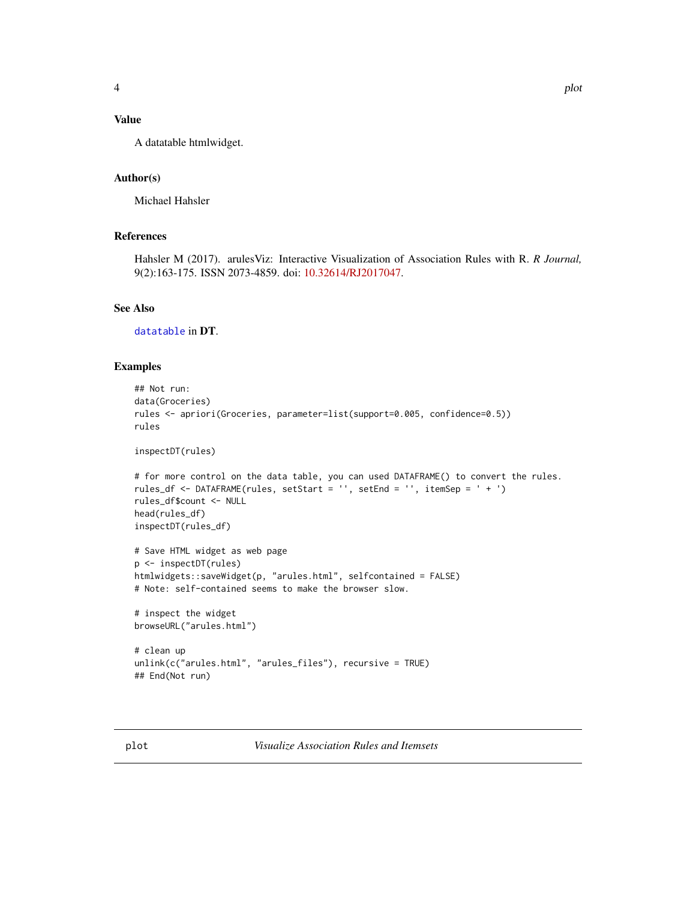#### <span id="page-3-0"></span>Value

A datatable htmlwidget.

#### Author(s)

Michael Hahsler

#### References

Hahsler M (2017). arulesViz: Interactive Visualization of Association Rules with R. *R Journal,* 9(2):163-175. ISSN 2073-4859. doi: [10.32614/RJ2017047.](https://doi.org/10.32614/RJ-2017-047)

#### See Also

[datatable](#page-2-1) in DT.

#### Examples

```
## Not run:
data(Groceries)
rules <- apriori(Groceries, parameter=list(support=0.005, confidence=0.5))
rules
inspectDT(rules)
# for more control on the data table, you can used DATAFRAME() to convert the rules.
rules_df <- DATAFRAME(rules, setStart = '', setEnd = '', itemSep = ' + ')
rules_df$count <- NULL
head(rules_df)
inspectDT(rules_df)
# Save HTML widget as web page
p <- inspectDT(rules)
htmlwidgets::saveWidget(p, "arules.html", selfcontained = FALSE)
# Note: self-contained seems to make the browser slow.
# inspect the widget
browseURL("arules.html")
# clean up
unlink(c("arules.html", "arules_files"), recursive = TRUE)
## End(Not run)
```
<span id="page-3-1"></span>plot *Visualize Association Rules and Itemsets*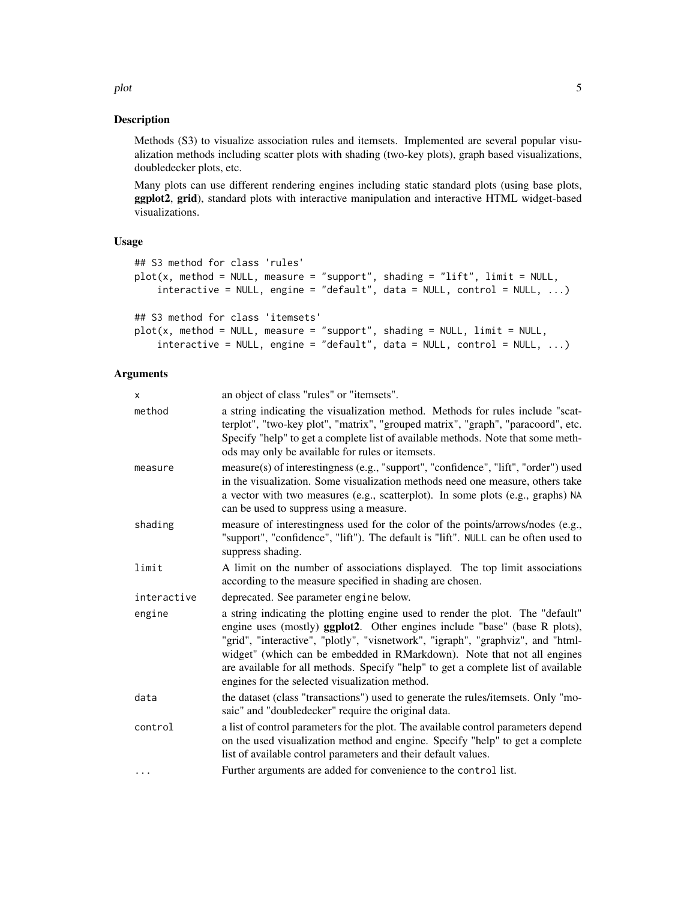#### Description

Methods (S3) to visualize association rules and itemsets. Implemented are several popular visualization methods including scatter plots with shading (two-key plots), graph based visualizations, doubledecker plots, etc.

Many plots can use different rendering engines including static standard plots (using base plots, ggplot2, grid), standard plots with interactive manipulation and interactive HTML widget-based visualizations.

#### Usage

```
## S3 method for class 'rules'
plot(x, method = NULL, measure = "support", shading = "lift", limit = NULL,
   interactive = NULL, engine = "default", data = NULL, control = NULL, ...)
## S3 method for class 'itemsets'
plot(x, method = NULL, measure = "support", shading = NULL, limit = NULL,
    interactive = NULL, engine = "default", data = NULL, control = NULL, ...)
```
#### Arguments

| X           | an object of class "rules" or "itemsets".                                                                                                                                                                                                                                                                                                                                                                                                                         |
|-------------|-------------------------------------------------------------------------------------------------------------------------------------------------------------------------------------------------------------------------------------------------------------------------------------------------------------------------------------------------------------------------------------------------------------------------------------------------------------------|
| method      | a string indicating the visualization method. Methods for rules include "scat-<br>terplot", "two-key plot", "matrix", "grouped matrix", "graph", "paracoord", etc.<br>Specify "help" to get a complete list of available methods. Note that some meth-<br>ods may only be available for rules or itemsets.                                                                                                                                                        |
| measure     | measure(s) of interestingness (e.g., "support", "confidence", "lift", "order") used<br>in the visualization. Some visualization methods need one measure, others take<br>a vector with two measures (e.g., scatterplot). In some plots (e.g., graphs) NA<br>can be used to suppress using a measure.                                                                                                                                                              |
| shading     | measure of interestingness used for the color of the points/arrows/nodes (e.g.,<br>"support", "confidence", "lift"). The default is "lift". NULL can be often used to<br>suppress shading.                                                                                                                                                                                                                                                                        |
| limit       | A limit on the number of associations displayed. The top limit associations<br>according to the measure specified in shading are chosen.                                                                                                                                                                                                                                                                                                                          |
| interactive | deprecated. See parameter engine below.                                                                                                                                                                                                                                                                                                                                                                                                                           |
| engine      | a string indicating the plotting engine used to render the plot. The "default"<br>engine uses (mostly) ggplot2. Other engines include "base" (base R plots),<br>"grid", "interactive", "plotly", "visnetwork", "igraph", "graphviz", and "html-<br>widget" (which can be embedded in RMarkdown). Note that not all engines<br>are available for all methods. Specify "help" to get a complete list of available<br>engines for the selected visualization method. |
| data        | the dataset (class "transactions") used to generate the rules/itemsets. Only "mo-<br>saic" and "doubledecker" require the original data.                                                                                                                                                                                                                                                                                                                          |
| control     | a list of control parameters for the plot. The available control parameters depend<br>on the used visualization method and engine. Specify "help" to get a complete<br>list of available control parameters and their default values.                                                                                                                                                                                                                             |
| $\cdots$    | Further arguments are added for convenience to the control list.                                                                                                                                                                                                                                                                                                                                                                                                  |

plot 5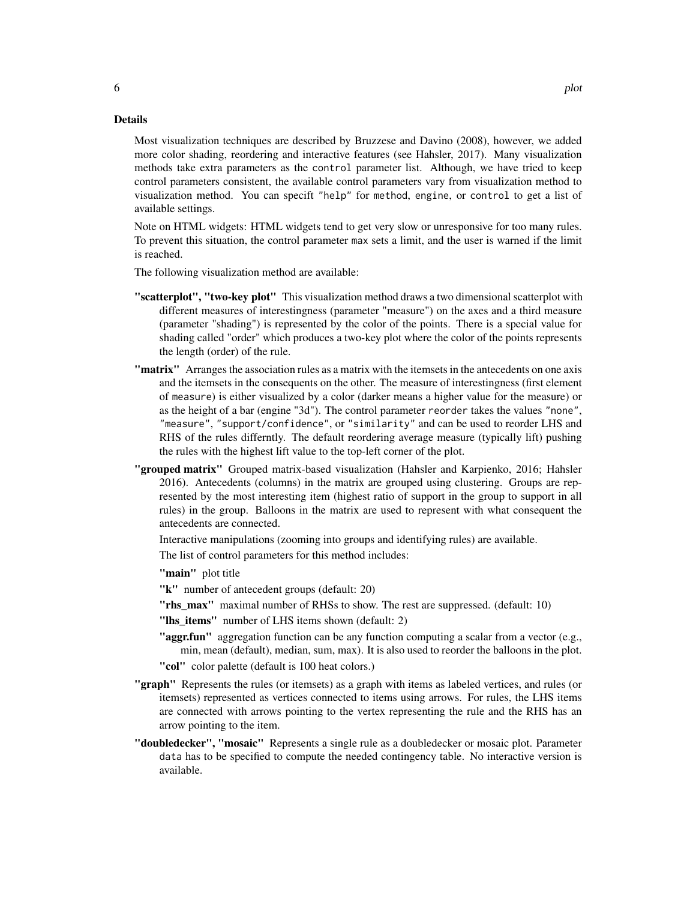#### Details

Most visualization techniques are described by Bruzzese and Davino (2008), however, we added more color shading, reordering and interactive features (see Hahsler, 2017). Many visualization methods take extra parameters as the control parameter list. Although, we have tried to keep control parameters consistent, the available control parameters vary from visualization method to visualization method. You can specift "help" for method, engine, or control to get a list of available settings.

Note on HTML widgets: HTML widgets tend to get very slow or unresponsive for too many rules. To prevent this situation, the control parameter max sets a limit, and the user is warned if the limit is reached.

The following visualization method are available:

- "scatterplot", "two-key plot" This visualization method draws a two dimensional scatterplot with different measures of interestingness (parameter "measure") on the axes and a third measure (parameter "shading") is represented by the color of the points. There is a special value for shading called "order" which produces a two-key plot where the color of the points represents the length (order) of the rule.
- **"matrix"** Arranges the association rules as a matrix with the itemsets in the antecedents on one axis and the itemsets in the consequents on the other. The measure of interestingness (first element of measure) is either visualized by a color (darker means a higher value for the measure) or as the height of a bar (engine "3d"). The control parameter reorder takes the values "none", "measure", "support/confidence", or "similarity" and can be used to reorder LHS and RHS of the rules differntly. The default reordering average measure (typically lift) pushing the rules with the highest lift value to the top-left corner of the plot.
- "grouped matrix" Grouped matrix-based visualization (Hahsler and Karpienko, 2016; Hahsler 2016). Antecedents (columns) in the matrix are grouped using clustering. Groups are represented by the most interesting item (highest ratio of support in the group to support in all rules) in the group. Balloons in the matrix are used to represent with what consequent the antecedents are connected.
	- Interactive manipulations (zooming into groups and identifying rules) are available.

The list of control parameters for this method includes:

- "main" plot title
- "k" number of antecedent groups (default: 20)
- "rhs\_max" maximal number of RHSs to show. The rest are suppressed. (default: 10)
- "lhs items" number of LHS items shown (default: 2)
- **"aggr.fun"** aggregation function can be any function computing a scalar from a vector (e.g., min, mean (default), median, sum, max). It is also used to reorder the balloons in the plot.
- "col" color palette (default is 100 heat colors.)
- "graph" Represents the rules (or itemsets) as a graph with items as labeled vertices, and rules (or itemsets) represented as vertices connected to items using arrows. For rules, the LHS items are connected with arrows pointing to the vertex representing the rule and the RHS has an arrow pointing to the item.
- "doubledecker", "mosaic" Represents a single rule as a doubledecker or mosaic plot. Parameter data has to be specified to compute the needed contingency table. No interactive version is available.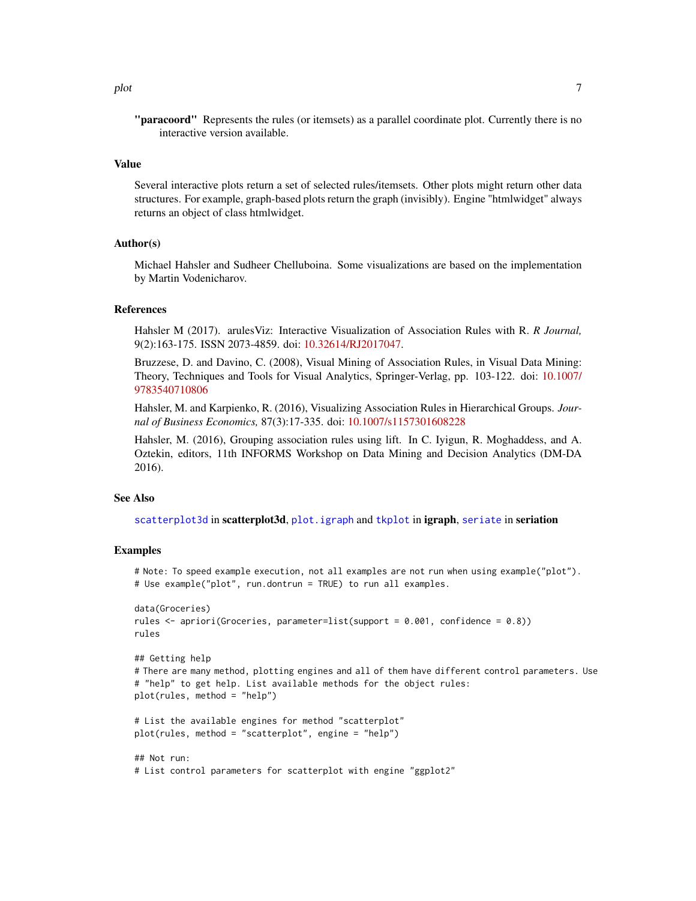#### <span id="page-6-0"></span>Value

Several interactive plots return a set of selected rules/itemsets. Other plots might return other data structures. For example, graph-based plots return the graph (invisibly). Engine "htmlwidget" always returns an object of class htmlwidget.

#### Author(s)

Michael Hahsler and Sudheer Chelluboina. Some visualizations are based on the implementation by Martin Vodenicharov.

#### References

Hahsler M (2017). arulesViz: Interactive Visualization of Association Rules with R. *R Journal,* 9(2):163-175. ISSN 2073-4859. doi: [10.32614/RJ2017047.](https://doi.org/10.32614/RJ-2017-047)

Bruzzese, D. and Davino, C. (2008), Visual Mining of Association Rules, in Visual Data Mining: Theory, Techniques and Tools for Visual Analytics, Springer-Verlag, pp. 103-122. doi: [10.1007/](https://doi.org/10.1007/978-3-540-71080-6) [9783540710806](https://doi.org/10.1007/978-3-540-71080-6)

Hahsler, M. and Karpienko, R. (2016), Visualizing Association Rules in Hierarchical Groups. *Journal of Business Economics,* 87(3):17-335. doi: [10.1007/s1157301608228](https://doi.org/10.1007/s11573-016-0822-8)

Hahsler, M. (2016), Grouping association rules using lift. In C. Iyigun, R. Moghaddess, and A. Oztekin, editors, 11th INFORMS Workshop on Data Mining and Decision Analytics (DM-DA 2016).

#### See Also

[scatterplot3d](#page-0-0) in scatterplot3d, [plot.igraph](#page-0-0) and [tkplot](#page-0-0) in igraph, [seriate](#page-0-0) in seriation

#### Examples

```
# Note: To speed example execution, not all examples are not run when using example("plot").
# Use example("plot", run.dontrun = TRUE) to run all examples.
```

```
data(Groceries)
rules \leq apriori(Groceries, parameter=list(support = 0.001, confidence = 0.8))
rules
## Getting help
# There are many method, plotting engines and all of them have different control parameters. Use
# "help" to get help. List available methods for the object rules:
plot(rules, method = "help")
# List the available engines for method "scatterplot"
plot(rules, method = "scatterplot", engine = "help")
## Not run:
```
# List control parameters for scatterplot with engine "ggplot2"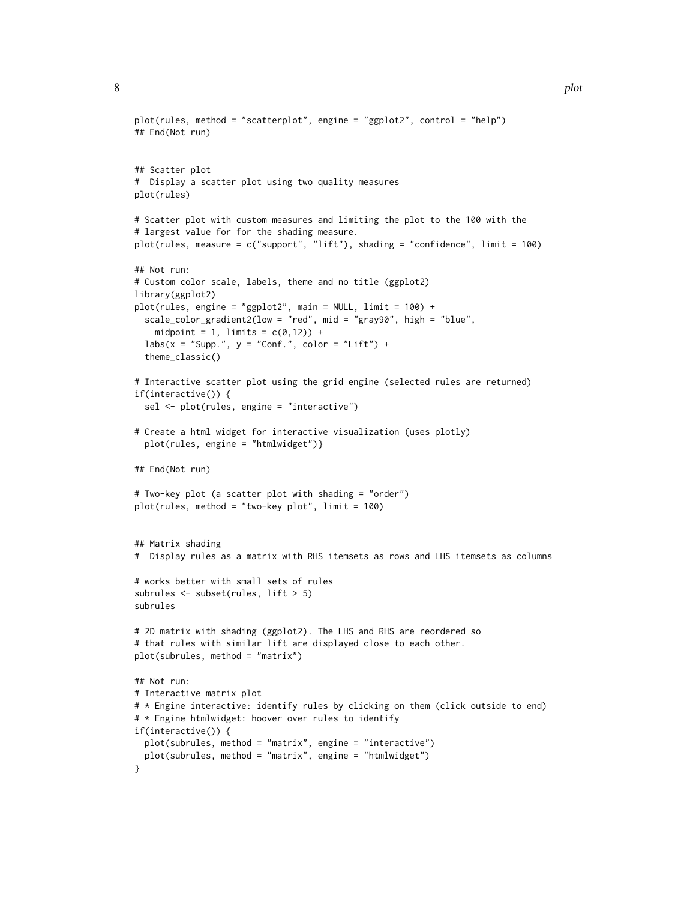```
plot(rules, method = "scatterplot", engine = "ggplot2", control = "help")
## End(Not run)
## Scatter plot
# Display a scatter plot using two quality measures
plot(rules)
# Scatter plot with custom measures and limiting the plot to the 100 with the
# largest value for for the shading measure.
plot(rules, measure = c("support", "lift"), shading = "confidence", limit = 100)
## Not run:
# Custom color scale, labels, theme and no title (ggplot2)
library(ggplot2)
plot(rules, engine = "ggplot2", main = NULL, limit = 100) +
  scale_color_gradient2(low = "red", mid = "gray90", high = "blue",
    midpoint = 1, limits = c(\emptyset, 12)) +
  labs(x = "Supp.", y = "Conf.", color = "Lift") +
  theme_classic()
# Interactive scatter plot using the grid engine (selected rules are returned)
if(interactive()) {
  sel <- plot(rules, engine = "interactive")
# Create a html widget for interactive visualization (uses plotly)
  plot(rules, engine = "htmlwidget")}
## End(Not run)
# Two-key plot (a scatter plot with shading = "order")
plot(rules, method = "two-key plot", limit = 100)
## Matrix shading
# Display rules as a matrix with RHS itemsets as rows and LHS itemsets as columns
# works better with small sets of rules
subrules <- subset(rules, lift > 5)
subrules
# 2D matrix with shading (ggplot2). The LHS and RHS are reordered so
# that rules with similar lift are displayed close to each other.
plot(subrules, method = "matrix")
## Not run:
# Interactive matrix plot
# * Engine interactive: identify rules by clicking on them (click outside to end)
# * Engine htmlwidget: hoover over rules to identify
if(interactive()) {
  plot(subrules, method = "matrix", engine = "interactive")
  plot(subrules, method = "matrix", engine = "htmlwidget")
}
```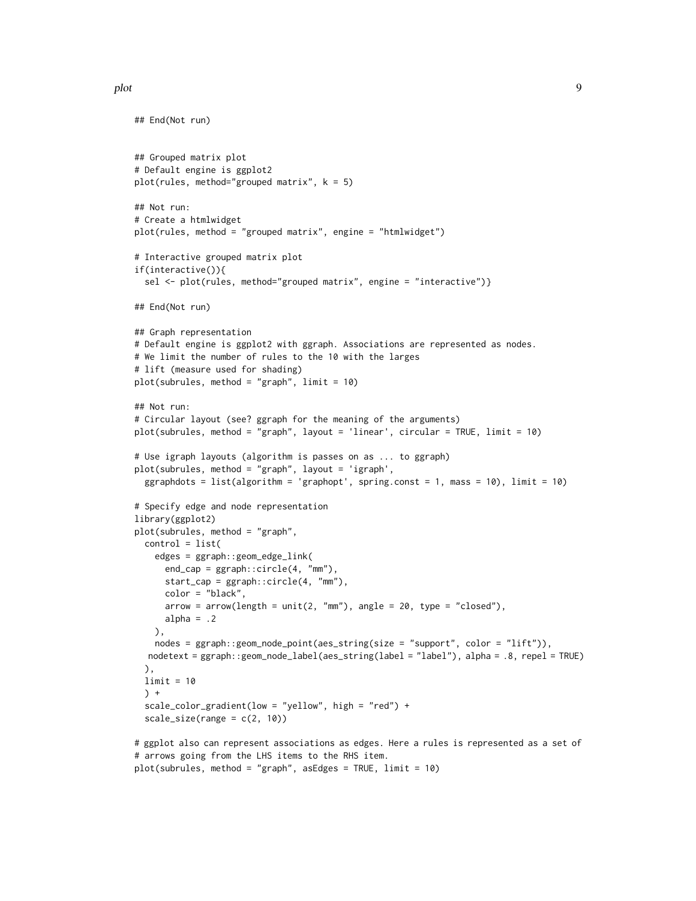```
## End(Not run)
## Grouped matrix plot
# Default engine is ggplot2
plot(rules, method="grouped matrix", k = 5)
## Not run:
# Create a htmlwidget
plot(rules, method = "grouped matrix", engine = "htmlwidget")
# Interactive grouped matrix plot
if(interactive()){
 sel <- plot(rules, method="grouped matrix", engine = "interactive")}
## End(Not run)
## Graph representation
# Default engine is ggplot2 with ggraph. Associations are represented as nodes.
# We limit the number of rules to the 10 with the larges
# lift (measure used for shading)
plot(subrules, method = "graph", limit = 10)## Not run:
# Circular layout (see? ggraph for the meaning of the arguments)
plot(subrules, method = "graph", layout = 'linear', circular = TRUE, limit = 10)
# Use igraph layouts (algorithm is passes on as ... to ggraph)
plot(subrules, method = "graph", layout = 'igraph',
 ggraphdots = list(algorithm = 'graphopt', spring.const = 1, mass = 10), limit = 10)
# Specify edge and node representation
library(ggplot2)
plot(subrules, method = "graph",
 control = list(edges = ggraph::geom_edge_link(
     end_cap = ggraph::circle(4, "mm"),
     start_cap = ggraph::circle(4, "mm"),
     color = "black",
     arrow = arrow(length = unit(2, "mm"), angle = 20, type = "closed"),alpha = .2),
   nodes = ggraph::geom_node_point(aes_string(size = "support", color = "lift")),
  nodetext = ggraph::geom_node_label(aes_string(label = "label"), alpha = .8, repel = TRUE)
 ),
 limit = 10
 ) +scale_color_gradient(low = "yellow", high = "red") +
 scale\_size(range = c(2, 10))# ggplot also can represent associations as edges. Here a rules is represented as a set of
# arrows going from the LHS items to the RHS item.
```

```
plot(subrules, method = "graph", asEdges = TRUE, limit = 10)
```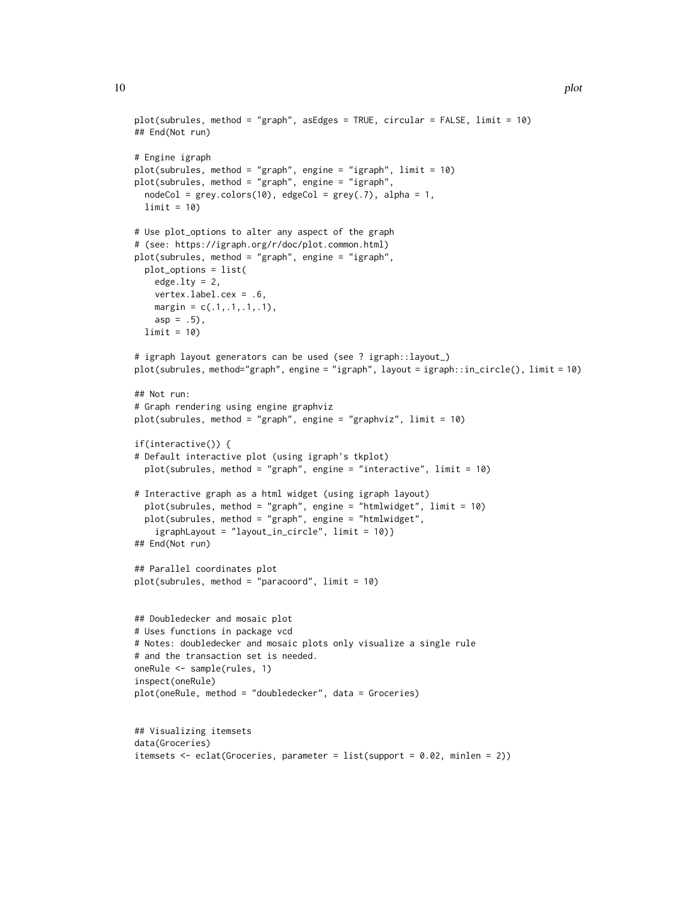```
plot(subrules, method = "graph", asEdges = TRUE, circular = FALSE, limit = 10)
## End(Not run)
# Engine igraph
plot(subrules, method = "graph", engine = "igraph", limit = 10)
plot(subrules, method = "graph", engine = "igraph",
 nodeCol = greycolor(10), edgeCol = grey.
 limit = 10# Use plot_options to alter any aspect of the graph
# (see: https://igraph.org/r/doc/plot.common.html)
plot(subrules, method = "graph", engine = "igraph",
 plot_options = list(
   edge.lty = 2,
   vertex.label.cex = .6,
   margin = c(.1, .1, .1, .1),asp = .5,
 limit = 10)
# igraph layout generators can be used (see ? igraph::layout_)
plot(subrules, method="graph", engine = "igraph", layout = igraph::in_circle(), limit = 10)
## Not run:
# Graph rendering using engine graphviz
plot(subrules, method = "graph", engine = "graphviz", limit = 10)
if(interactive()) {
# Default interactive plot (using igraph's tkplot)
 plot(subrules, method = "graph", engine = "interactive", limit = 10)
# Interactive graph as a html widget (using igraph layout)
 plot(subrules, method = "graph", engine = "htmlwidget", limit = 10)
 plot(subrules, method = "graph", engine = "htmlwidget",
    igraphLayout = "layout_in_circle", limit = 10)}
## End(Not run)
## Parallel coordinates plot
plot(subrules, method = "paraccord", limit = 10)## Doubledecker and mosaic plot
# Uses functions in package vcd
# Notes: doubledecker and mosaic plots only visualize a single rule
# and the transaction set is needed.
oneRule <- sample(rules, 1)
inspect(oneRule)
plot(oneRule, method = "doubledecker", data = Groceries)
## Visualizing itemsets
data(Groceries)
itemsets <- eclat(Groceries, parameter = list(support = 0.02, minlen = 2))
```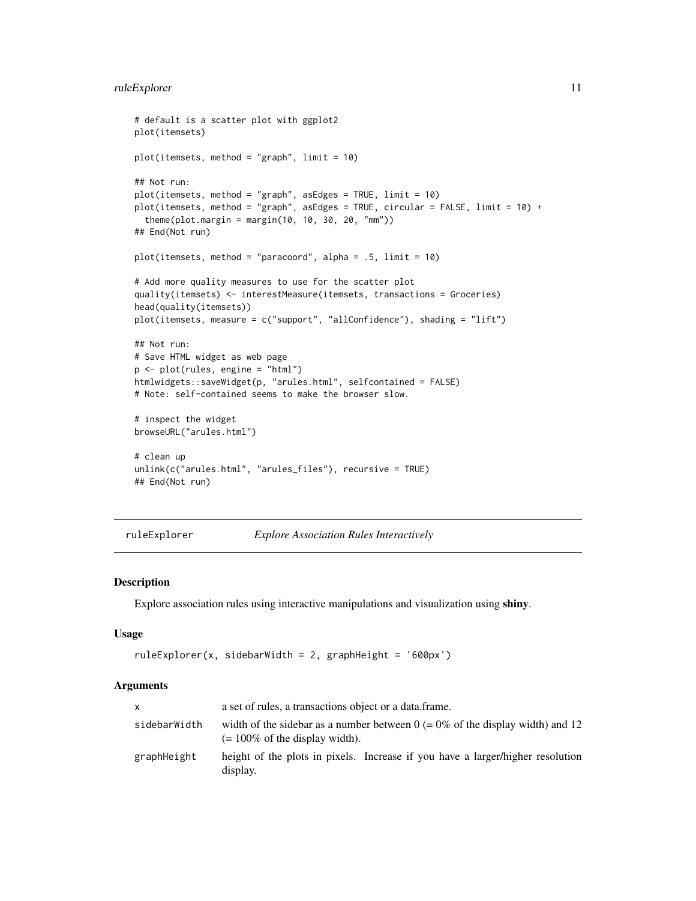#### <span id="page-10-0"></span>ruleExplorer 11

```
# default is a scatter plot with ggplot2
plot(itemsets)
plot(itemsets, method = "graph", limit = 10)## Not run:
plot(itemsets, method = "graph", asEdges = TRUE, limit = 10)
plot(itemsets, method = "graph", asEdges = TRUE, circular = FALSE, limit = 10) +
  theme(plot.margin = margin(10, 10, 30, 20, "mm"))
## End(Not run)
plot(itemsets, method = "paracoord", alpha = .5, limit = 10)
# Add more quality measures to use for the scatter plot
quality(itemsets) <- interestMeasure(itemsets, transactions = Groceries)
head(quality(itemsets))
plot(itemsets, measure = c("support", "allConfidence"), shading = "lift")
## Not run:
# Save HTML widget as web page
p <- plot(rules, engine = "html")
htmlwidgets::saveWidget(p, "arules.html", selfcontained = FALSE)
# Note: self-contained seems to make the browser slow.
# inspect the widget
browseURL("arules.html")
# clean up
unlink(c("arules.html", "arules_files"), recursive = TRUE)
## End(Not run)
```
ruleExplorer *Explore Association Rules Interactively*

#### Description

Explore association rules using interactive manipulations and visualization using shiny.

#### Usage

```
ruleExploor(x, sidebarWidth = 2, graphHeight = '600px')
```
#### Arguments

| x.           | a set of rules, a transactions object or a data.frame.                                                                |
|--------------|-----------------------------------------------------------------------------------------------------------------------|
| sidebarWidth | width of the sidebar as a number between $0 (= 0\%$ of the display width) and 12<br>$(= 100\%$ of the display width). |
| graphHeight  | height of the plots in pixels. Increase if you have a larger/higher resolution<br>display.                            |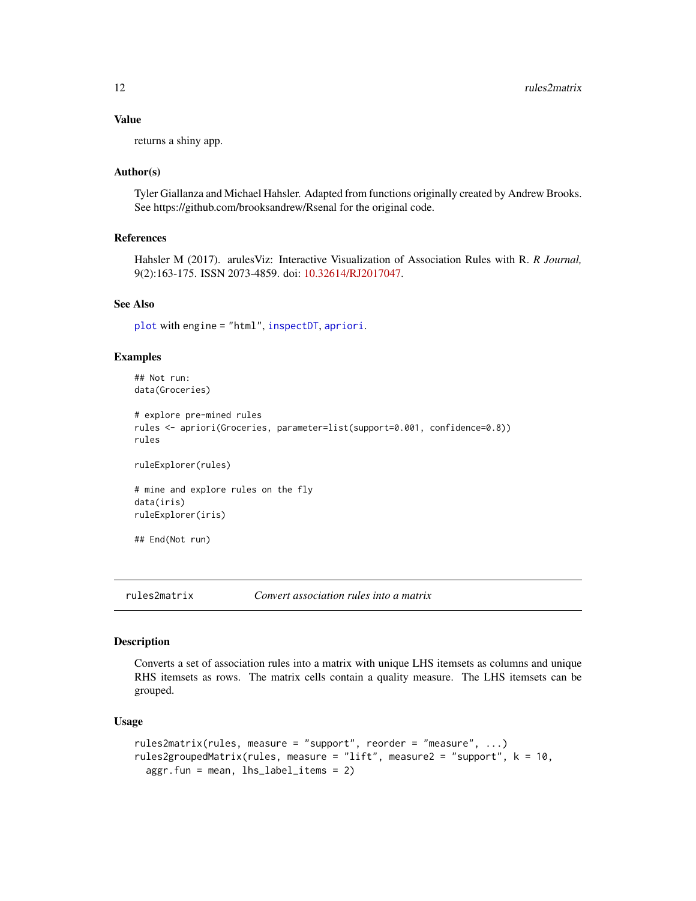#### <span id="page-11-0"></span>Value

returns a shiny app.

#### Author(s)

Tyler Giallanza and Michael Hahsler. Adapted from functions originally created by Andrew Brooks. See https://github.com/brooksandrew/Rsenal for the original code.

#### References

Hahsler M (2017). arulesViz: Interactive Visualization of Association Rules with R. *R Journal,* 9(2):163-175. ISSN 2073-4859. doi: [10.32614/RJ2017047.](https://doi.org/10.32614/RJ-2017-047)

#### See Also

[plot](#page-3-1) with engine = "html", [inspectDT](#page-2-2), [apriori](#page-0-0).

#### Examples

```
## Not run:
data(Groceries)
# explore pre-mined rules
rules <- apriori(Groceries, parameter=list(support=0.001, confidence=0.8))
rules
ruleExplorer(rules)
# mine and explore rules on the fly
data(iris)
ruleExplorer(iris)
## End(Not run)
```
rules2matrix *Convert association rules into a matrix*

#### Description

Converts a set of association rules into a matrix with unique LHS itemsets as columns and unique RHS itemsets as rows. The matrix cells contain a quality measure. The LHS itemsets can be grouped.

#### Usage

```
rules2matrix(rules, measure = "support", reorder = "measure", ...)
rules2groupedMatrix(rules, measure = "lift", measure2 = "support", k = 10,
  aggr.fun = mean, lhs_label_items = 2)
```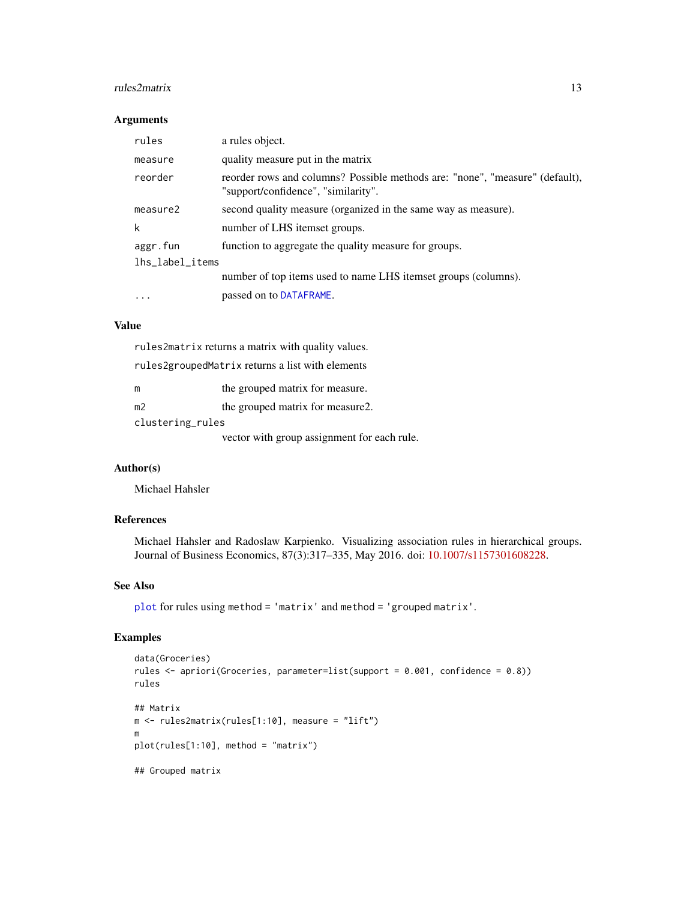#### <span id="page-12-0"></span>rules2matrix 13

#### Arguments

| rules           | a rules object.                                                                                                     |
|-----------------|---------------------------------------------------------------------------------------------------------------------|
| measure         | quality measure put in the matrix                                                                                   |
| reorder         | reorder rows and columns? Possible methods are: "none", "measure" (default),<br>"support/confidence", "similarity". |
| measure2        | second quality measure (organized in the same way as measure).                                                      |
| k               | number of LHS itemset groups.                                                                                       |
| aggr.fun        | function to aggregate the quality measure for groups.                                                               |
| lhs_label_items |                                                                                                                     |
|                 | number of top items used to name LHS itemset groups (columns).                                                      |
| $\cdots$        | passed on to DATAFRAME.                                                                                             |

#### Value

rules2matrix returns a matrix with quality values.

rules2groupedMatrix returns a list with elements

| m                | the grouped matrix for measure.  |
|------------------|----------------------------------|
| m <sub>2</sub>   | the grouped matrix for measure2. |
| clustering_rules |                                  |

vector with group assignment for each rule.

#### Author(s)

Michael Hahsler

#### References

Michael Hahsler and Radoslaw Karpienko. Visualizing association rules in hierarchical groups. Journal of Business Economics, 87(3):317–335, May 2016. doi: [10.1007/s1157301608228.](https://doi.org/10.1007/s11573-016-0822-8)

#### See Also

[plot](#page-3-1) for rules using method = 'matrix' and method = 'grouped matrix'.

#### Examples

```
data(Groceries)
rules <- apriori(Groceries, parameter=list(support = 0.001, confidence = 0.8))
rules
## Matrix
m <- rules2matrix(rules[1:10], measure = "lift")
m
plot(rules[1:10], method = "matrix")
## Grouped matrix
```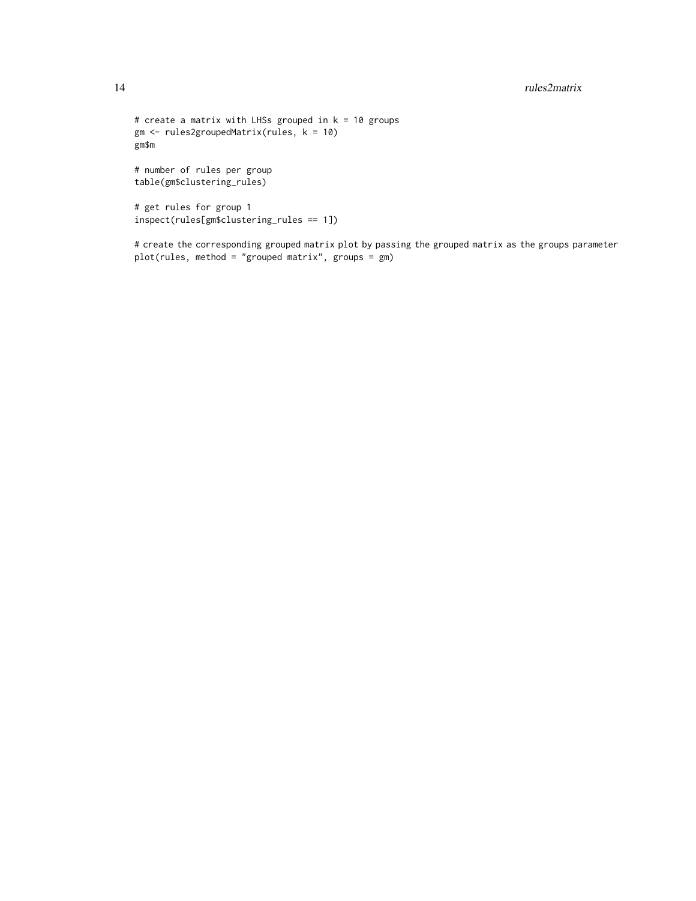#### 14 rules2matrix

```
# create a matrix with LHSs grouped in k = 10 groups
gm <- rules2groupedMatrix(rules, k = 10)
gm$m
# number of rules per group
table(gm$clustering_rules)
# get rules for group 1
inspect(rules[gm$clustering_rules == 1])
```
# create the corresponding grouped matrix plot by passing the grouped matrix as the groups parameter plot(rules, method = "grouped matrix", groups = gm)